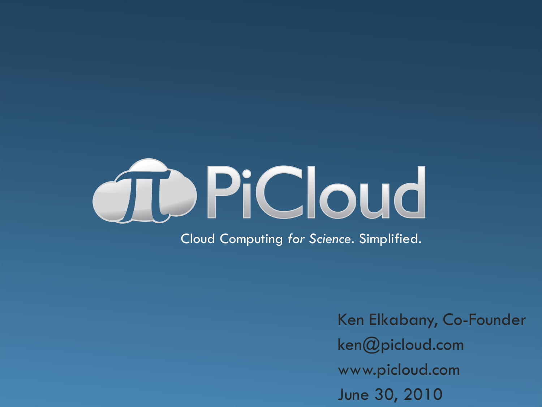# TDPiCloud Cloud Computing *for Science*. Simplified.

Ken Elkabany, Co-Founder ken@picloud.com www.picloud.com June 30, 2010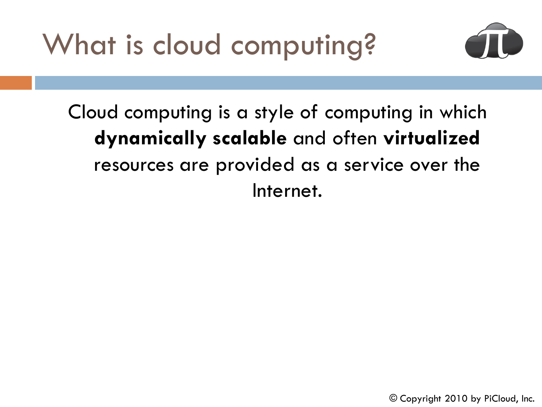What is cloud computing?



Cloud computing is a style of computing in which **dynamically scalable** and often **virtualized** resources are provided as a service over the Internet.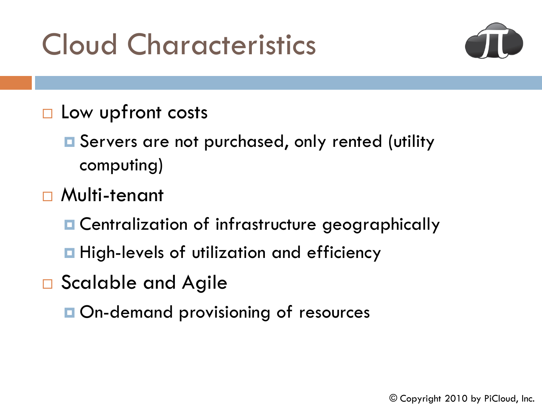### Cloud Characteristics



- $\square$  Low upfront costs
	- **□** Servers are not purchased, only rented (utility computing)
- Multi-tenant
	- **E** Centralization of infrastructure geographically
	- **High-levels of utilization and efficiency**
- □ Scalable and Agile
	- **On-demand provisioning of resources**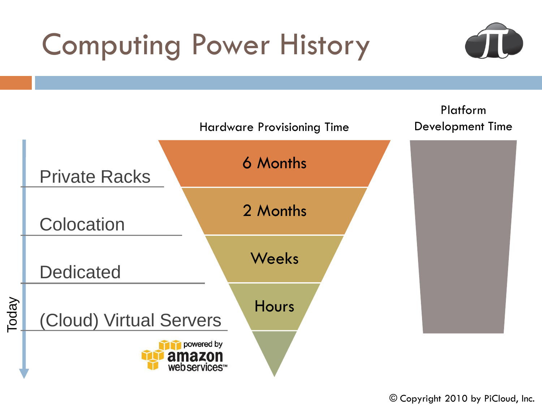## Computing Power History



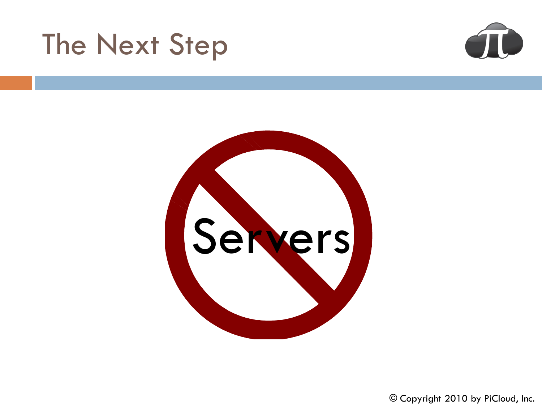### The Next Step



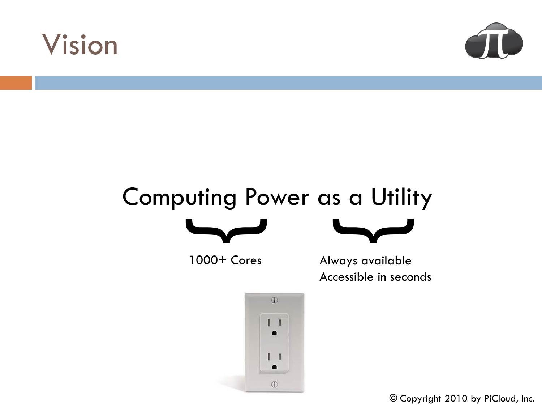



# Computing Power as a Utility



1000+ Cores



Always available Accessible in seconds

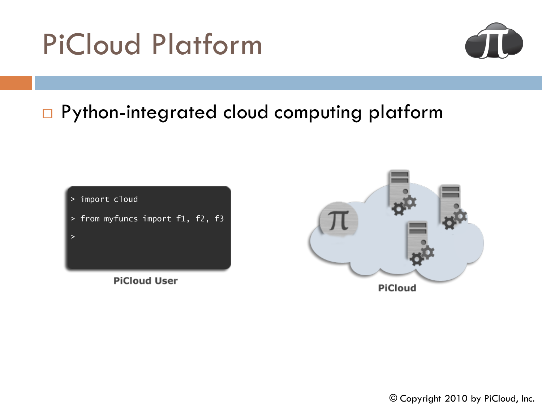



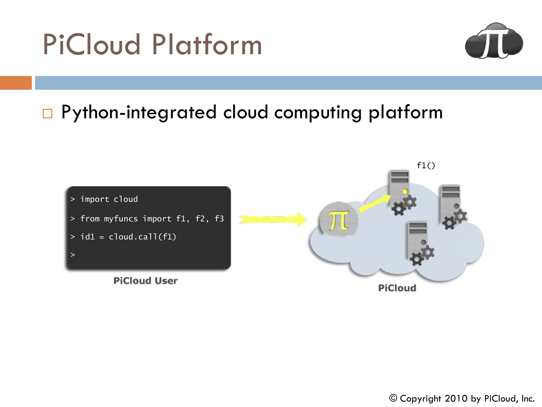

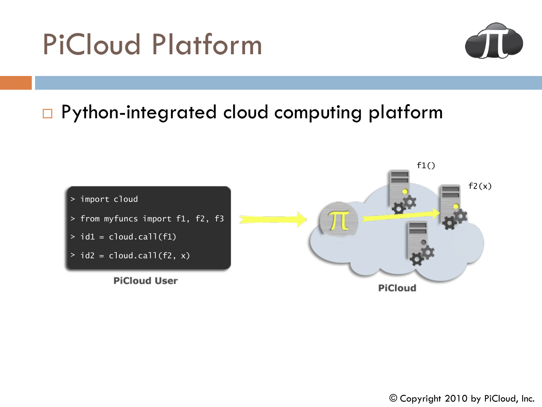

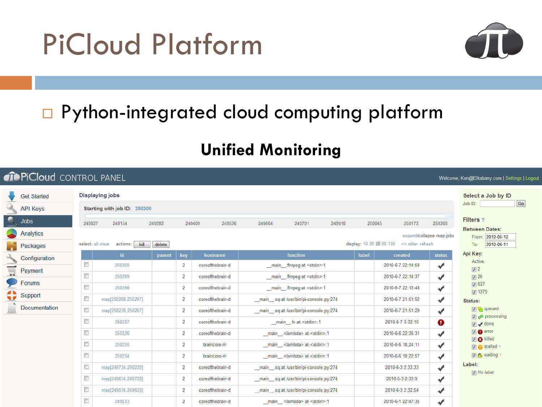

### □ Python-integrated cloud computing platform

#### **Unified Monitoring**

| <b><i><u>OD</u>PICloud CONTROL PANEL</i></b><br>Welcome, Ken@Elkabany.com   Settings   Logou |                                                              |                                  |                                      |                                                                                                   |                                                                                                        |                                                                                                                 |
|----------------------------------------------------------------------------------------------|--------------------------------------------------------------|----------------------------------|--------------------------------------|---------------------------------------------------------------------------------------------------|--------------------------------------------------------------------------------------------------------|-----------------------------------------------------------------------------------------------------------------|
| <b>Get Started</b><br><b>API Keys</b>                                                        | <b>Displaying jobs</b><br>Starting with job ID: 250300       |                                  |                                      |                                                                                                   |                                                                                                        | Select a Job by ID<br>Go<br>Job ID:                                                                             |
| Q<br>Jobs<br><b>Analytics</b><br>Packages                                                    | 249027<br>249154<br>select: all clear<br>actions:<br>kill    | 249282<br>delete                 | 249409<br>249536                     | 249664<br>249791<br>249918                                                                        | 250300<br>250045<br>250173<br>expand/collapse map jobs<br>display: 10 20 30 50 100<br><< older refresh | Filters ?<br><b>Between Dates:</b><br>From: 2010-05-12<br>To:<br>2010-06-11                                     |
| Configuration                                                                                | id<br>$\Box$<br>250300                                       | key<br>parent<br>2               | hostname<br>coreofthebrain-d         | function<br>main .ffmpeg at <stdin>:1</stdin>                                                     | label<br>created<br>status<br>2010-6-7 22:14:58                                                        | Api Key:<br>Active                                                                                              |
| Payment<br>ਚ<br>Forums                                                                       | $\Box$<br>250299                                             | $\overline{2}$                   | coreofthebrain-d                     | main ffmpeg at <stdin>:1</stdin>                                                                  | ✔<br>2010-6-7 22:14:37<br>$\blacktriangledown$                                                         | $\sqrt{2}$<br>$\sqrt{2}$ 26<br>$\sqrt{637}$                                                                     |
| ≎<br>Support                                                                                 | $\Box$<br>250298<br>$\Box$<br>map[250268,250297]             | $\overline{2}$<br>$\overline{2}$ | coreofthebrain-d<br>coreofthebrain-d | main ffmpeg at <stdin>:1<br/>main sq at /usr/bin/pi-console.py:274</stdin>                        | 2010-6-7 22:13:48<br>✔<br>$\overline{\mathcal{F}}$<br>2010-6-7 21:51:52                                | $\overline{v}$ 1379<br>Status:                                                                                  |
| <b>Documentation</b>                                                                         | $\Box$<br>map[250238,250267]<br>$\Box$<br>250237             | $\overline{2}$<br>$\overline{2}$ | coreofthebrain-d<br>coreofthebrain-d | main sq at /usr/bin/pi-console.py:274<br>main .hi at <stdin>:1</stdin>                            | 2010-6-7 21:51:29<br>✔<br>2010-6-7 0:32:10<br>Ø                                                        | <b>网络</b> queued<br>$\boxed{v}$ a <sup><math>\star</math></sup> processing<br>$\nabla \blacktriangleright$ done |
|                                                                                              | $\Box$<br>250236<br>$\Box$<br>250235                         | $\overline{2}$<br>$\overline{2}$ | coreofthebrain-d<br>braincore-m      | main ___ <lambda> at <stdin>:1<br/>_main_.<lambda> at <stdin>:1</stdin></lambda></stdin></lambda> | ✔<br>2010-6-6 22:36:31<br>2010-6-6 18:24:11<br>✔                                                       | $\nabla$ error<br><b>D</b> & killed<br>$\boxed{v}$ stalled ?                                                    |
|                                                                                              | $\Box$<br>250234                                             | $\overline{2}$                   | braincore-m                          | _main_. <lambda> at <stdin>:1</stdin></lambda>                                                    | $\overline{\mathcal{F}}$<br>2010-6-6 18:22:57                                                          | <b>▽ (</b> , waiting?<br>Label:                                                                                 |
|                                                                                              | $\Box$<br>map[249734,250233]<br>$\Box$<br>map[249634,249733] | $\overline{2}$<br>$\overline{2}$ | coreofthebrain-d<br>coreofthebrain-d | main sq at /usr/bin/pi-console.py:274<br>main sq at /usr/bin/pi-console.py:274                    | $\overline{\mathcal{F}}$<br>2010-6-3 2:33:33<br>$\blacktriangledown$<br>2010-6-3 2:33:9                | $\nabla$ No label                                                                                               |
|                                                                                              | $\Box$<br>map[249534,249633]<br>$\Box$<br>249533             | $\overline{2}$<br>$\overline{2}$ | coreofthebrain-d<br>coreofthebrain-d | main sq at /usr/bin/pi-console.py:274<br>_main_. <lambda> at <stdin>:1</stdin></lambda>           | 2010-6-3 2:32:54<br>$\overline{\mathcal{F}}$<br>$\blacktriangledown$<br>2010-6-1 22:47:35              |                                                                                                                 |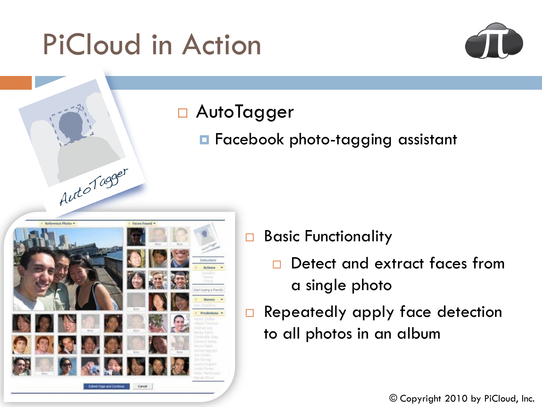### PiCloud in Action



#### □ AutoTagger

**E** Facebook photo-tagging assistant



#### Basic Functionality

- □ Detect and extract faces from a single photo
- Repeatedly apply face detection to all photos in an album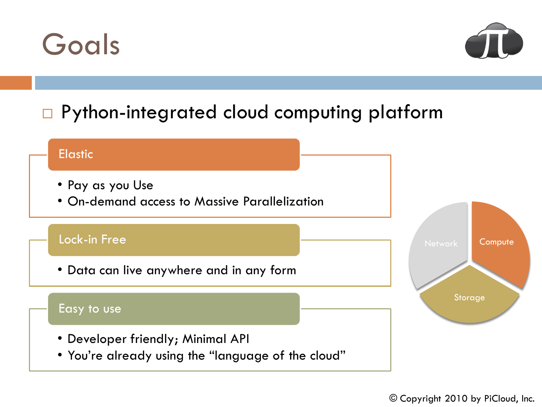



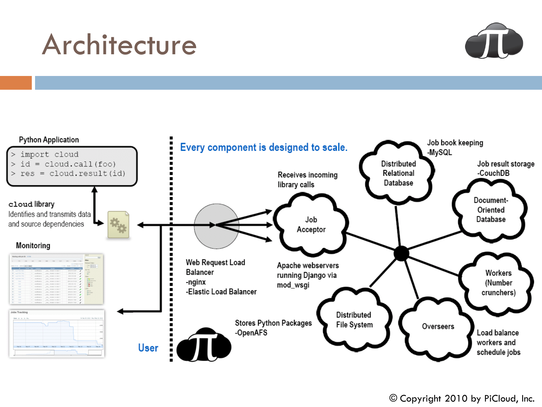### Architecture



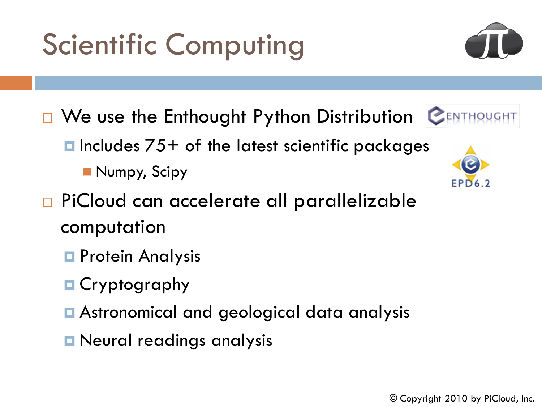## Scientific Computing

- **D We use the Enthought Python Distribution CENTHOWGHT**  $\blacksquare$  Includes  $75+$  of the latest scientific packages Numpy, Scipy
- □ PiCloud can accelerate all parallelizable computation
	- **Protein Analysis**
	- **□ Cryptography**
	- Astronomical and geological data analysis
	- **E** Neural readings analysis